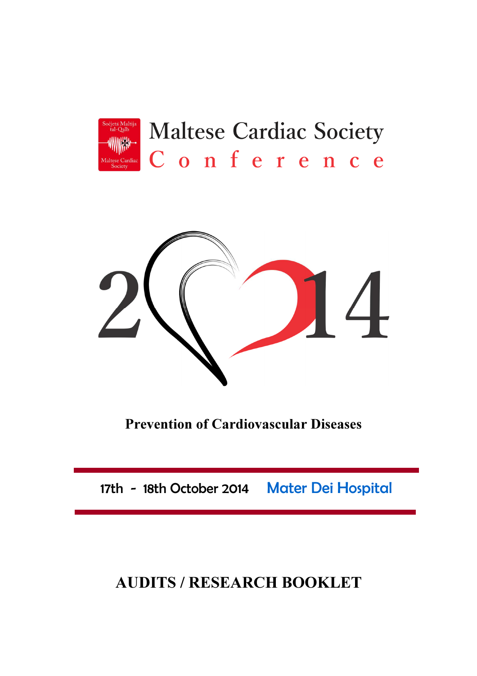

## **Maltese Cardiac Society** Conference



Prevention of Cardiovascular Diseases

17th - 18th October 2014 Mater Dei Hospital

## AUDITS / RESEARCH BOOKLET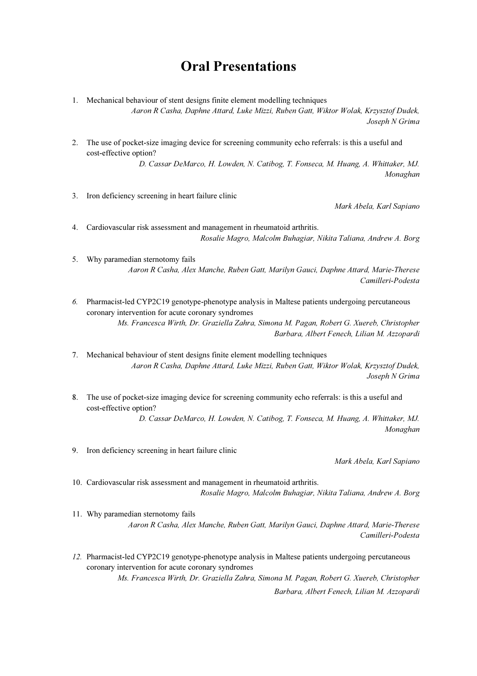## Oral Presentations

- 1. Mechanical behaviour of stent designs finite element modelling techniques Aaron R Casha, Daphne Attard, Luke Mizzi, Ruben Gatt, Wiktor Wolak, Krzysztof Dudek, Joseph N Grima
- 2. The use of pocket-size imaging device for screening community echo referrals: is this a useful and cost-effective option?

D. Cassar DeMarco, H. Lowden, N. Catibog, T. Fonseca, M. Huang, A. Whittaker, MJ. Monaghan

3. Iron deficiency screening in heart failure clinic

Mark Abela, Karl Sapiano

- 4. Cardiovascular risk assessment and management in rheumatoid arthritis. Rosalie Magro, Malcolm Buhagiar, Nikita Taliana, Andrew A. Borg
- 5. Why paramedian sternotomy fails Aaron R Casha, Alex Manche, Ruben Gatt, Marilyn Gauci, Daphne Attard, Marie-Therese Camilleri-Podesta
- 6. Pharmacist-led CYP2C19 genotype-phenotype analysis in Maltese patients undergoing percutaneous coronary intervention for acute coronary syndromes Ms. Francesca Wirth, Dr. Graziella Zahra, Simona M. Pagan, Robert G. Xuereb, Christopher Barbara, Albert Fenech, Lilian M. Azzopardi

7. Mechanical behaviour of stent designs finite element modelling techniques Aaron R Casha, Daphne Attard, Luke Mizzi, Ruben Gatt, Wiktor Wolak, Krzysztof Dudek, Joseph N Grima

8. The use of pocket-size imaging device for screening community echo referrals: is this a useful and cost-effective option?

D. Cassar DeMarco, H. Lowden, N. Catibog, T. Fonseca, M. Huang, A. Whittaker, MJ. Monaghan

9. Iron deficiency screening in heart failure clinic

Mark Abela, Karl Sapiano

10. Cardiovascular risk assessment and management in rheumatoid arthritis. Rosalie Magro, Malcolm Buhagiar, Nikita Taliana, Andrew A. Borg

- 11. Why paramedian sternotomy fails Aaron R Casha, Alex Manche, Ruben Gatt, Marilyn Gauci, Daphne Attard, Marie-Therese Camilleri-Podesta
- 12. Pharmacist-led CYP2C19 genotype-phenotype analysis in Maltese patients undergoing percutaneous coronary intervention for acute coronary syndromes Ms. Francesca Wirth, Dr. Graziella Zahra, Simona M. Pagan, Robert G. Xuereb, Christopher

Barbara, Albert Fenech, Lilian M. Azzopardi